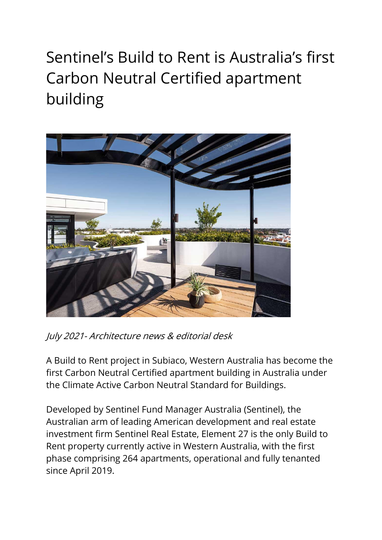## Sentinel's Build to Rent is Australia's first Carbon Neutral Certified apartment building



July 2021- Architecture news & editorial desk

A Build to Rent project in Subiaco, Western Australia has become the first Carbon Neutral Certified apartment building in Australia under the Climate Active Carbon Neutral Standard for Buildings.

Developed by Sentinel Fund Manager Australia (Sentinel), the Australian arm of leading American development and real estate investment firm Sentinel Real Estate, Element 27 is the only Build to Rent property currently active in Western Australia, with the first phase comprising 264 apartments, operational and fully tenanted since April 2019.